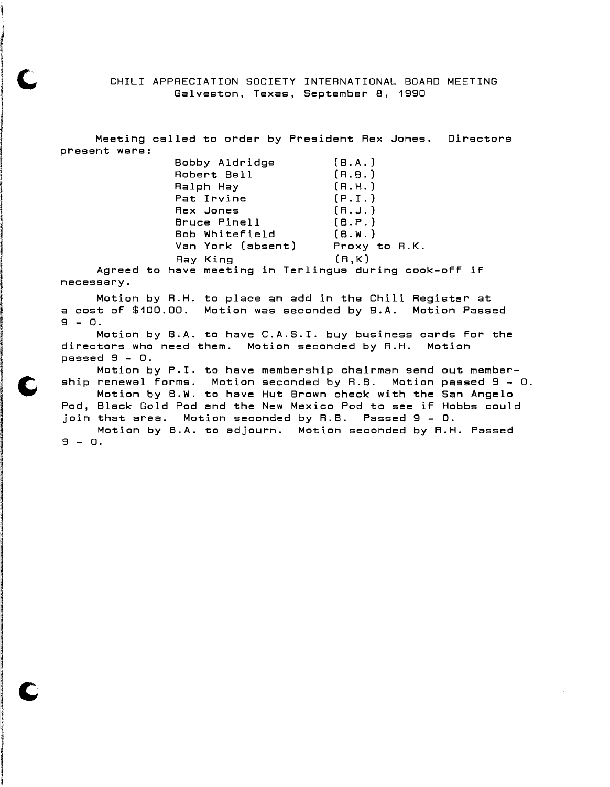CHILI APPRECIATION SOCIETY INTERNATIONAL BOARD MEETING Galveston, Texas, September 8, 1990

Meeting called to order by President Rex Jones. Directors present were: Bobby Aldridge (B.A.)

1 ing television.<br>T

ar Mahalalah di Kabupaten Kabupaten (Kabupaten).<br>Inggris perangan penganjang pada tahun 1992 dan menjadi kecamatan penganjang perang menganjang perang menganja

I a fa an an an Eastain March 1999.

**Jane Sherika (1988)**<br>Jane Sherika (1988)<br>Jane Sherika (1988)

2006 در شمهر در در در شمهر در روزهها<br>الانتهاء در شمهر در در در شمهر در در I I (Internet)<br>Internet (Internet)<br>Internet (Internet Internet Internet)

I

 $|~$  C

| Bobby Aldridge    | ( B . A . )   |
|-------------------|---------------|
| Robert Bell       | (R.B.)        |
| Ralph Hay         | (R.H.)        |
| Pat Irvine        | (P.I.)        |
| Rex Jones         | (R.J.)        |
| Bruce Pinell      | (B.P.)        |
| Bob Whitefield    | (B.W.)        |
| Van York (absent) | Proxy to R.K. |
| Ray King          | (R,K)         |
|                   |               |

Agreed to have meeting in Terlingua during cook-oFF iF necessary.

Motion by R.H. to place an add in the Chili Register at a cost of \$100.00. Motion was seconded by B.A. Motion Passed  $9 - 0.$ 

Motion by B.A. to have C.A.S.I. buy business cards For the directors who need them. Motion seconded by R.H. Motion passed 9 - o.

Motion by P.I. to have membership chairman send out member-<br>ship renewal forms. Motion seconded by R.B. Motion passed 9 - 0.<br>Motion by P.W. to boys Wit Brawn shack with the San Argele. Motion by P.I. to have membership chairman send out member-Motion by B.W. to have Hut Brown check with the San Angelo Pod, Black Gold Pod and the New Mexico Pod to see iF Hobbs could join that area. Motion seconded by R.B. Passed 9 - O.

Motion by B.A. to adjourn. Motion seconded by R.H. Passed 9 - o.